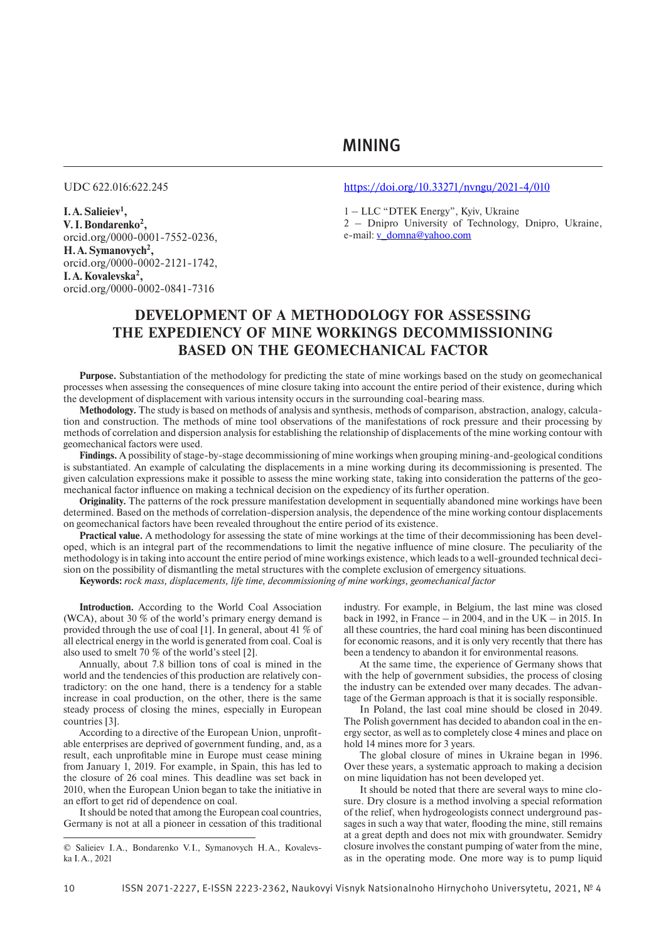MINING

**I.A.Salieiev1 , V. I.Bondarenko2 ,** orcid.org/0000-0001-7552-0236, **H.A.Symanovych2 ,** orcid.org/0000-0002-2121-1742, **I.A.Kovalevska2 ,** orcid.org/0000-0002-0841-7316

## UDC 622.016:622.245 https://doi.org/10.33271/nvngu/2021-4/010

1 – LLC "DTEK Energy", Kyiv, Ukraine

2 – Dnipro University of Technology, Dnipro, Ukraine, e-mail: v\_domna@yahoo.com

# **DEVELOPMENT OF A METHODOLOGY FOR ASSESSING THE EXPEDIENCY OF MINE WORKINGS DECOMMISSIONING BASED ON THE GEOMECHANICAL FACTOR**

**Purpose.** Substantiation of the methodology for predicting the state of mine workings based on the study on geomechanical processes when assessing the consequences of mine closure taking into account the entire period of their existence, during which the development of displacement with various intensity occurs in the surrounding coal-bearing mass.

**Methodology.** The study is based on methods of analysis and synthesis, methods of comparison, abstraction, analogy, calculation and construction. The methods of mine tool observations of the manifestations of rock pressure and their processing by methods of correlation and dispersion analysis for establishing the relationship of displacements of the mine working contour with geomechanical factors were used.

**Findings.** A possibility of stage-by-stage decommissioning of mine workings when grouping mining-and-geological conditions is substantiated. An example of calculating the displacements in a mine working during its decommissioning is presented. The given calculation expressions make it possible to assess the mine working state, taking into consideration the patterns of the geomechanical factor influence on making a technical decision on the expediency of its further operation.

**Originality.** The patterns of the rock pressure manifestation development in sequentially abandoned mine workings have been determined. Based on the methods of correlation-dispersion analysis, the dependence of the mine working contour displacements on geomechanical factors have been revealed throughout the entire period of its existence.

**Practical value.** A methodology for assessing the state of mine workings at the time of their decommissioning has been developed, which is an integral part of the recommendations to limit the negative influence of mine closure. The peculiarity of the methodology is in taking into account the entire period of mine workings existence, which leads to a well-grounded technical decision on the possibility of dismantling the metal structures with the complete exclusion of emergency situations.

**Keywords:** *rock mass, displacements, life time, decommissioning of mine workings, geomechanical factor*

**Introduction.** According to the World Coal Association (WCA), about 30 % of the world's primary energy demand is provided through the use of coal [1]. In general, about 41 % of all electrical energy in the world is generated from coal. Coal is also used to smelt 70 % of the world's steel [2].

Annually, about 7.8 billion tons of coal is mined in the world and the tendencies of this production are relatively contradictory: on the one hand, there is a tendency for a stable increase in coal production, on the other, there is the same steady process of closing the mines, especially in European countries [3].

According to a directive of the European Union, unprofitable enterprises are deprived of government funding, and, as a result, each unprofitable mine in Europe must cease mining from January 1, 2019. For example, in Spain, this has led to the closure of 26 coal mines. This deadline was set back in 2010, when the European Union began to take the initiative in an effort to get rid of dependence on coal.

It should be noted that among the European coal countries, Germany is not at all a pioneer in cessation of this traditional

industry. For example, in Belgium, the last mine was closed back in 1992, in France – in 2004, and in the UK – in 2015. In all these countries, the hard coal mining has been discontinued for economic reasons, and it is only very recently that there has been a tendency to abandon it for environmental reasons.

At the same time, the experience of Germany shows that with the help of government subsidies, the process of closing the industry can be extended over many decades. The advantage of the German approach is that it is socially responsible.

In Poland, the last coal mine should be closed in 2049. The Polish government has decided to abandon coal in the energy sector, as well as to completely close 4 mines and place on hold 14 mines more for 3 years.

The global closure of mines in Ukraine began in 1996. Over these years, a systematic approach to making a decision on mine liquidation has not been developed yet.

It should be noted that there are several ways to mine closure. Dry closure is a method involving a special reformation of the relief, when hydrogeologists connect underground passages in such a way that water, flooding the mine, still remains at a great depth and does not mix with groundwater. Semidry closure involves the constant pumping of water from the mine, as in the operating mode. One more way is to pump liquid

<sup>©</sup> Salieiev I.A., Bondarenko V.I., Symanovych H.A., Kovalevska I.A., 2021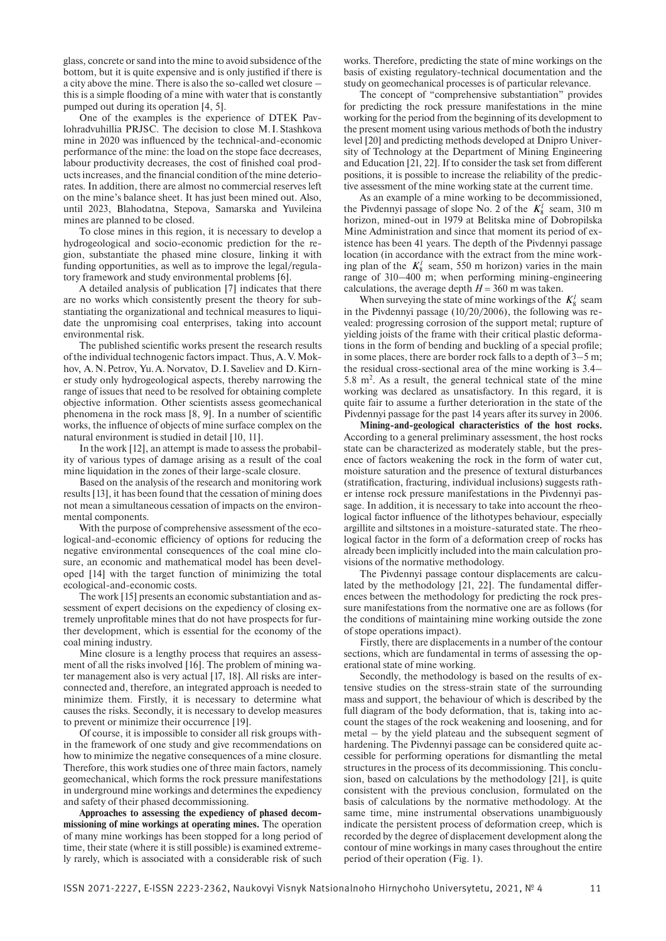glass, concrete or sand into the mine to avoid subsidence of the bottom, but it is quite expensive and is only justified if there is a city above the mine. There is also the so-called wet closure – this is a simple flooding of a mine with water that is constantly pumped out during its operation [4, 5].

One of the examples is the experience of DTEK Pavlohradvuhillia PRJSC. The decision to close М.І.Stashkova mine in 2020 was influenced by the technical-and-economic performance of the mine: the load on the stope face decreases, labour productivity decreases, the cost of finished coal products increases, and the financial condition of the mine deteriorates. In addition, there are almost no commercial reserves left on the mine's balance sheet. It has just been mined out. Also, until 2023, Blahodatna, Stepova, Samarska and Yuvileina mines are planned to be closed.

To close mines in this region, it is necessary to develop a hydrogeological and socio-economic prediction for the region, substantiate the phased mine closure, linking it with funding opportunities, as well as to improve the legal/regulatory framework and study environmental problems [6].

A detailed analysis of publication [7] indicates that there are no works which consistently present the theory for substantiating the organizational and technical measures to liquidate the unpromising coal enterprises, taking into account environmental risk.

The published scientific works present the research results of the individual technogenic factors impact. Thus, A.V.Mokhov, A.N. Petrov, Yu.A. Norvatov, D.I. Saveliev and D.Kirner study only hydrogeological aspects, thereby narrowing the range of issues that need to be resolved for obtaining complete objective information. Other scientists assess geomechanical phenomena in the rock mass [8, 9]. In a number of scientific works, the influence of objects of mine surface complex on the natural environment is studied in detail [10, 11].

In the work [12], an attempt is made to assess the probability of various types of damage arising as a result of the coal mine liquidation in the zones of their large-scale closure.

Based on the analysis of the research and monitoring work results [13], it has been found that the cessation of mining does not mean a simultaneous cessation of impacts on the environmental components.

With the purpose of comprehensive assessment of the ecological-and-economic efficiency of options for reducing the negative environmental consequences of the coal mine closure, an economic and mathematical model has been developed [14] with the target function of minimizing the total ecological-and-economic costs.

The work [15] presents an economic substantiation and assessment of expert decisions on the expediency of closing extremely unprofitable mines that do not have prospects for further development, which is essential for the economy of the coal mining industry.

Mine closure is a lengthy process that requires an assessment of all the risks involved [16]. The problem of mining water management also is very actual [17, 18]. All risks are interconnected and, therefore, an integrated approach is needed to minimize them. Firstly, it is necessary to determine what causes the risks. Secondly, it is necessary to develop measures to prevent or minimize their occurrence [19].

Of course, it is impossible to consider all risk groups within the framework of one study and give recommendations on how to minimize the negative consequences of a mine closure. Therefore, this work studies one of three main factors, namely geomechanical, which forms the rock pressure manifestations in underground mine workings and determines the expediency and safety of their phased decommissioning.

**Approaches to assessing the expediency of phased decommissioning of mine workings at operating mines.** The operation of many mine workings has been stopped for a long period of time, their state (where it is still possible) is examined extremely rarely, which is associated with a considerable risk of such

works. Therefore, predicting the state of mine workings on the basis of existing regulatory-technical documentation and the study on geomechanical processes is of particular relevance.

The concept of "comprehensive substantiation" provides for predicting the rock pressure manifestations in the mine working for the period from the beginning of its development to the present moment using various methods of both the industry level [20] and predicting methods developed at Dnipro University of Technology at the Department of Mining Engineering and Education [21, 22]. If to consider the task set from different positions, it is possible to increase the reliability of the predictive assessment of the mine working state at the current time.

As an example of a mine working to be decommissioned, the Pivdennyi passage of slope No. 2 of the  $K_8^l$  seam, 310 m horizon, mined-out in 1979 at Belitska mine of Dobropilska Mine Administration and since that moment its period of existence has been 41 years. The depth of the Pivdennyi passage location (in accordance with the extract from the mine working plan of the  $K_8^l$  seam, 550 m horizon) varies in the main range of 310–400 m; when performing mining-engineering calculations, the average depth  $H = 360$  m was taken.

When surveying the state of mine workings of the  $K_8^l$  seam in the Pivdennyi passage (10/20/2006), the following was revealed: progressing corrosion of the support metal; rupture of yielding joists of the frame with their critical plastic deformations in the form of bending and buckling of a special profile; in some places, there are border rock falls to a depth of 3–5 m; the residual cross-sectional area of the mine working is 3.4–  $5.8 \text{ m}^2$ . As a result, the general technical state of the mine working was declared as unsatisfactory. In this regard, it is quite fair to assume a further deterioration in the state of the Pivdennyi passage for the past 14 years after its survey in 2006.

**Mining-and-geological characteristics of the host rocks.**  According to a general preliminary assessment, the host rocks state can be characterized as moderately stable, but the presence of factors weakening the rock in the form of water cut, moisture saturation and the presence of textural disturbances (stratification, fracturing, individual inclusions) suggests rather intense rock pressure manifestations in the Pivdennyi passage. In addition, it is necessary to take into account the rheological factor influence of the lithotypes behaviour, especially argillite and siltstones in a moisture-saturated state. The rheological factor in the form of a deformation creep of rocks has already been implicitly included into the main calculation provisions of the normative methodology.

The Pivdennyi passage contour displacements are calculated by the methodology [21, 22]. The fundamental differences between the methodology for predicting the rock pressure manifestations from the normative one are as follows (for the conditions of maintaining mine working outside the zone of stope operations impact).

Firstly, there are displacements in a number of the contour sections, which are fundamental in terms of assessing the operational state of mine working.

Secondly, the methodology is based on the results of extensive studies on the stress-strain state of the surrounding mass and support, the behaviour of which is described by the full diagram of the body deformation, that is, taking into account the stages of the rock weakening and loosening, and for metal – by the yield plateau and the subsequent segment of hardening. The Pivdennyi passage can be considered quite accessible for performing operations for dismantling the metal structures in the process of its decommissioning. This conclusion, based on calculations by the methodology [21], is quite consistent with the previous conclusion, formulated on the basis of calculations by the normative methodology. At the same time, mine instrumental observations unambiguously indicate the persistent process of deformation creep, which is recorded by the degree of displacement development along the contour of mine workings in many cases throughout the entire period of their operation (Fig. 1).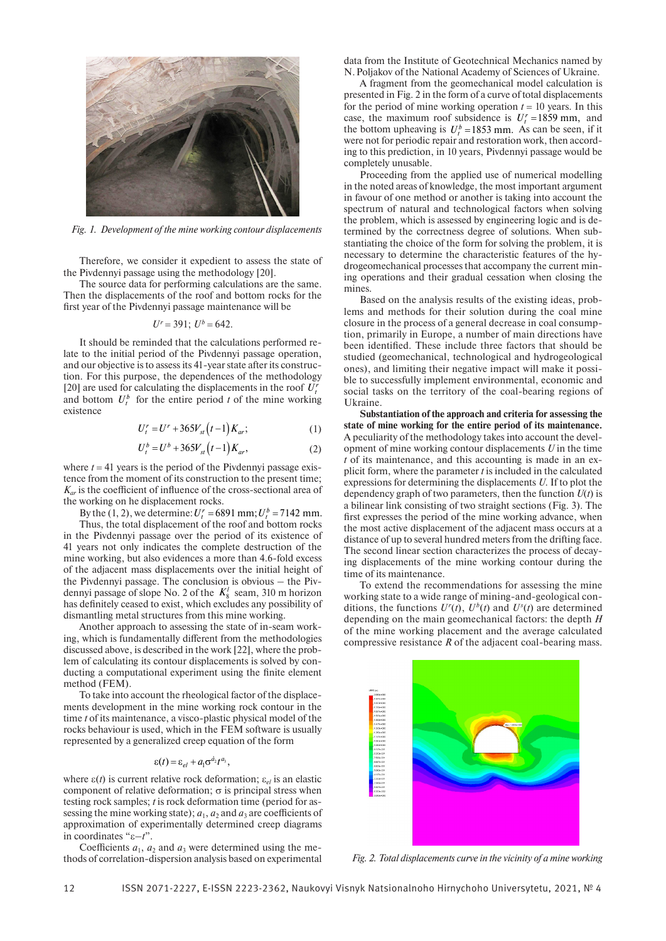

*Fig. 1. Development of the mine working contour displacements*

Therefore, we consider it expedient to assess the state of the Pivdennyi passage using the methodology [20].

The source data for performing calculations are the same. Then the displacements of the roof and bottom rocks for the first year of the Pivdennyi passage maintenance will be

$$
U^r = 391; U^b = 642.
$$

It should be reminded that the calculations performed relate to the initial period of the Pivdennyi passage operation, and our objective is to assess its 41-year state after its construction. For this purpose, the dependences of the methodology [20] are used for calculating the displacements in the roof  $U_t$ and bottom  $U_t^b$  for the entire period *t* of the mine working existence

$$
U_t^r = U^r + 365V_{st}(t-1)K_{ar};\tag{1}
$$

$$
U_t^b = U^b + 365V_{st}(t-1)K_{ar},
$$
 (2)

where  $t = 41$  years is the period of the Pivdennyi passage existence from the moment of its construction to the present time; *K<sub>ar</sub>* is the coefficient of influence of the cross-sectional area of the working on he displacement rocks.

By the (1, 2), we determine:  $U_t^r = 6891$  mm;  $U_t^b = 7142$  mm.

Thus, the total displacement of the roof and bottom rocks in the Pivdennyi passage over the period of its existence of 41 years not only indicates the complete destruction of the mine working, but also evidences a more than 4.6-fold excess of the adjacent mass displacements over the initial height of the Pivdennyi passage. The conclusion is obvious – the Pivdennyi passage of slope No. 2 of the  $K_8^l$  seam, 310 m horizon has definitely ceased to exist, which excludes any possibility of dismantling metal structures from this mine working.

Another approach to assessing the state of in-seam working, which is fundamentally different from the methodologies discussed above, is described in the work [22], where the problem of calculating its contour displacements is solved by conducting a computational experiment using the finite element method (FEM).

To take into account the rheological factor of the displacements development in the mine working rock contour in the time *t* of its maintenance, a visco-plastic physical model of the rocks behaviour is used, which in the FEM software is usually represented by a generalized creep equation of the form

$$
\varepsilon(t) = \varepsilon_{el} + a_1 \sigma^{\dot{a}_2} t^{a_3},
$$

where  $\varepsilon(t)$  is current relative rock deformation;  $\varepsilon_{el}$  is an elastic component of relative deformation;  $\sigma$  is principal stress when testing rock samples; *t* is rock deformation time (period for assessing the mine working state);  $a_1$ ,  $a_2$  and  $a_3$  are coefficients of approximation of experimentally determined creep diagrams in coordinates "ε–*t*".

Coefficients  $a_1$ ,  $a_2$  and  $a_3$  were determined using the methods of correlation-dispersion analysis based on experimental data from the Institute of Geotechnical Mechanics named by N.Poljakov of the National Academy of Sciences of Ukraine.

A fragment from the geomechanical model calculation is presented in Fig. 2 in the form of a curve of total displacements for the period of mine working operation  $t = 10$  years. In this case, the maximum roof subsidence is  $U_t^r = 1859$  mm, and the bottom upheaving is  $U_t^b = 1853$  mm. As can be seen, if it were not for periodic repair and restoration work, then according to this prediction, in 10 years, Pivdennyi passage would be completely unusable.

Proceeding from the applied use of numerical modelling in the noted areas of knowledge, the most important argument in favour of one method or another is taking into account the spectrum of natural and technological factors when solving the problem, which is assessed by engineering logic and is determined by the correctness degree of solutions. When substantiating the choice of the form for solving the problem, it is necessary to determine the characteristic features of the hydrogeomechanical processes that accompany the current mining operations and their gradual cessation when closing the mines.

Based on the analysis results of the existing ideas, problems and methods for their solution during the coal mine closure in the process of a general decrease in coal consumption, primarily in Europe, a number of main directions have been identified. These include three factors that should be studied (geomechanical, technological and hydrogeological ones), and limiting their negative impact will make it possible to successfully implement environmental, economic and social tasks on the territory of the coal-bearing regions of Ukraine.

**Substantiation of the approach and criteria for assessing the state of mine working for the entire period of its maintenance.** A peculiarity of the methodology takes into account the development of mine working contour displacements *U* in the time *t* of its maintenance, and this accounting is made in an explicit form, where the parameter *t* is included in the calculated expressions for determining the displacements *U*. If to plot the dependency graph of two parameters, then the function  $U(t)$  is a bilinear link consisting of two straight sections (Fig. 3). The first expresses the period of the mine working advance, when the most active displacement of the adjacent mass occurs at a distance of up to several hundred meters from the drifting face. The second linear section characterizes the process of decaying displacements of the mine working contour during the time of its maintenance.

To extend the recommendations for assessing the mine working state to a wide range of mining-and-geological conditions, the functions  $U^r(t)$ ,  $U^b(t)$  and  $U^s(t)$  are determined depending on the main geomechanical factors: the depth *H* of the mine working placement and the average calculated compressive resistance *R* of the adjacent coal-bearing mass.



*Fig. 2. Total displacements curve in the vicinity of a mine working*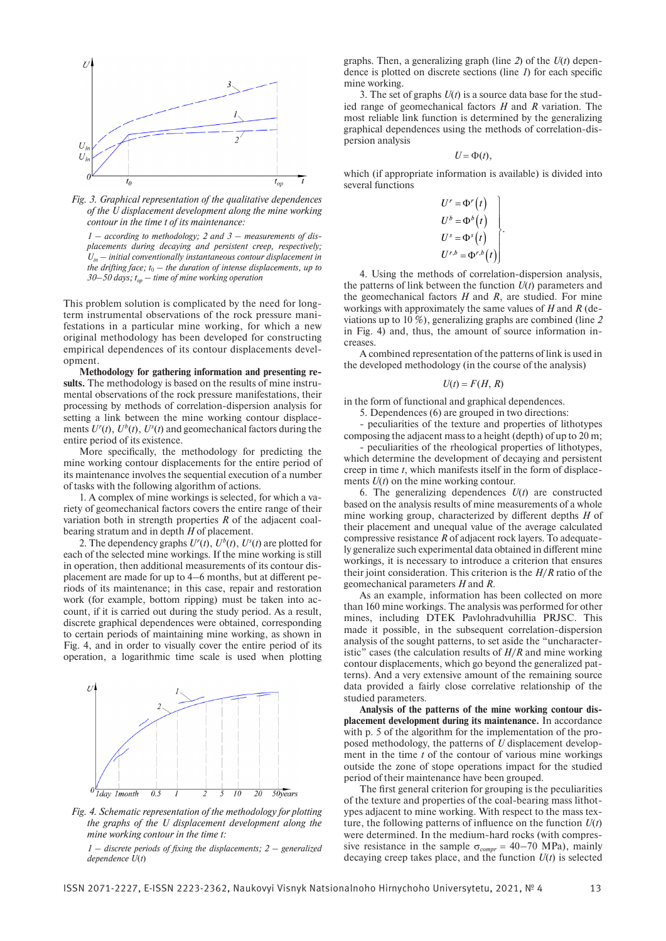

*Fig. 3. Graphical representation of the qualitative dependences of the U displacement development along the mine working contour in the time t of its maintenance:*

*1 – according to methodology; 2 and 3 – measurements of displacements during decaying and persistent creep, respectively;*   $U_{in}$  – initial conventionally instantaneous contour displacement in *the drifting face;*  $t_0$  – the duration of intense displacements, up to  $30-50$  days;  $t_{op}$  – time of mine working operation

This problem solution is complicated by the need for longterm instrumental observations of the rock pressure manifestations in a particular mine working, for which a new original methodology has been developed for constructing empirical dependences of its contour displacements development.

**Methodology for gathering information and presenting results.** The methodology is based on the results of mine instrumental observations of the rock pressure manifestations, their processing by methods of correlation-dispersion analysis for setting a link between the mine working contour displacements  $U^r(t)$ ,  $U^b(t)$ ,  $U^s(t)$  and geomechanical factors during the entire period of its existence.

More specifically, the methodology for predicting the mine working contour displacements for the entire period of its maintenance involves the sequential execution of a number of tasks with the following algorithm of actions.

1. A complex of mine workings is selected, for which a variety of geomechanical factors covers the entire range of their variation both in strength properties *R* of the adjacent coalbearing stratum and in depth *H* of placement.

2. The dependency graphs  $U^r(t)$ ,  $U^b(t)$ ,  $U^s(t)$  are plotted for each of the selected mine workings. If the mine working is still in operation, then additional measurements of its contour displacement are made for up to 4–6 months, but at different periods of its maintenance; in this case, repair and restoration work (for example, bottom ripping) must be taken into account, if it is carried out during the study period. As a result, discrete graphical dependences were obtained, corresponding to certain periods of maintaining mine working, as shown in Fig. 4, and in order to visually cover the entire period of its operation, a logarithmic time scale is used when plotting



*Fig. 4. Schematic representation of the methodology for plotting the graphs of the U displacement development along the mine working contour in the time t:*

*1 – discrete periods of fixing the displacements; 2 – generalized dependence U*(*t*)

graphs. Then, a generalizing graph (line *2*) of the *U*(*t*) dependence is plotted on discrete sections (line *1*) for each specific mine working.

3. The set of graphs *U*(*t*) is a source data base for the studied range of geomechanical factors *H* and *R* variation. The most reliable link function is determined by the generalizing graphical dependences using the methods of correlation-dispersion analysis

$$
U = \Phi(t),
$$

which (if appropriate information is available) is divided into several functions

$$
U^r = \Phi^r(t)
$$
  
\n
$$
U^b = \Phi^b(t)
$$
  
\n
$$
U^s = \Phi^s(t)
$$
  
\n
$$
U^{r,b} = \Phi^{r,b}(t)
$$

4. Using the methods of correlation-dispersion analysis, the patterns of link between the function  $U(t)$  parameters and the geomechanical factors *H* and *R*, are studied. For mine workings with approximately the same values of *H* and *R* (deviations up to 10 %), generalizing graphs are combined (line *2* in Fig. 4) and, thus, the amount of source information increases.

A combined representation of the patterns of link is used in the developed methodology (in the course of the analysis)

$$
U(t) = F(H, R)
$$

in the form of functional and graphical dependences.

5. Dependences (6) are grouped in two directions:

- peculiarities of the texture and properties of lithotypes composing the adjacent mass to a height (depth) of up to 20 m;

- peculiarities of the rheological properties of lithotypes, which determine the development of decaying and persistent creep in time *t*, which manifests itself in the form of displacements *U*(*t*) on the mine working contour.

6. The generalizing dependences *U*(*t*) are constructed based on the analysis results of mine measurements of a whole mine working group, characterized by different depths *H* of their placement and unequal value of the average calculated compressive resistance *R* of adjacent rock layers. To adequately generalize such experimental data obtained in different mine workings, it is necessary to introduce a criterion that ensures their joint consideration. This criterion is the *H*/*R* ratio of the geomechanical parameters *H* and *R*.

As an example, information has been collected on more than 160 mine workings. The analysis was performed for other mines, including DTEK Pavlohradvuhillia PRJSC. This made it possible, in the subsequent correlation-dispersion analysis of the sought patterns, to set aside the "uncharacteristic" cases (the calculation results of *H*/*R* and mine working contour displacements, which go beyond the generalized patterns). And a very extensive amount of the remaining source data provided a fairly close correlative relationship of the studied parameters.

**Analysis of the patterns of the mine working contour displacement development during its maintenance.** In accordance with p. 5 of the algorithm for the implementation of the proposed methodology, the patterns of *U* displacement development in the time *t* of the contour of various mine workings outside the zone of stope operations impact for the studied period of their maintenance have been grouped.

The first general criterion for grouping is the peculiarities of the texture and properties of the coal-bearing mass lithotypes adjacent to mine working. With respect to the mass texture, the following patterns of influence on the function *U*(*t*) were determined. In the medium-hard rocks (with compressive resistance in the sample  $\sigma_{compr} = 40-70 \text{ MPa}$ , mainly decaying creep takes place, and the function  $U(t)$  is selected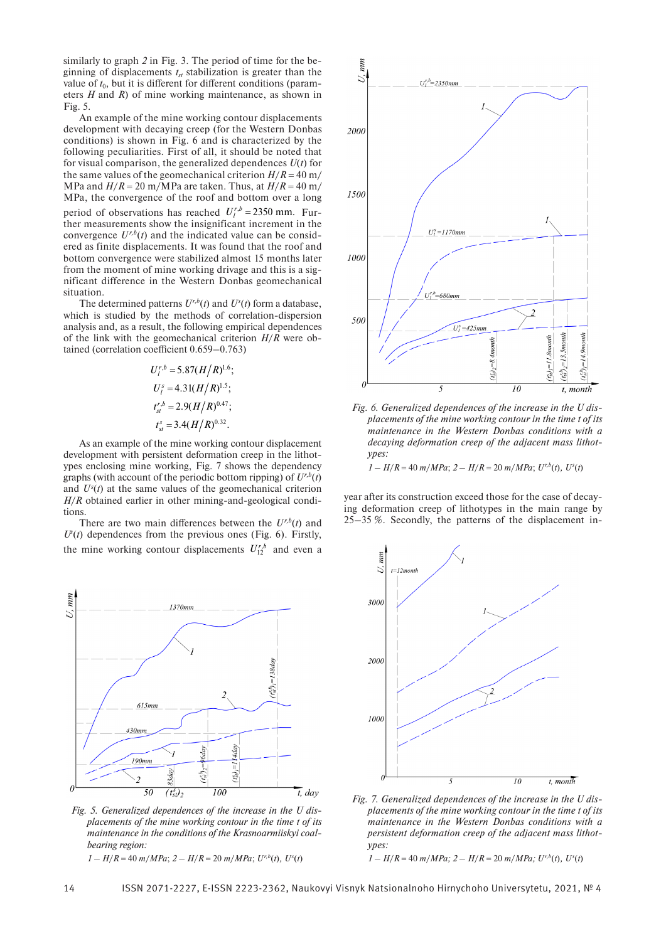similarly to graph *2* in Fig. 3. The period of time for the beginning of displacements  $t<sub>st</sub>$  stabilization is greater than the value of  $t_0$ , but it is different for different conditions (parameters *H* and *R*) of mine working maintenance, as shown in Fig. 5.

An example of the mine working contour displacements development with decaying creep (for the Western Donbas conditions) is shown in Fig. 6 and is characterized by the following peculiarities. First of all, it should be noted that for visual comparison, the generalized dependences *U*(*t*) for the same values of the geomechanical criterion  $H/R = 40$  m/ MPa and  $H/R = 20$  m/MPa are taken. Thus, at  $H/R = 40$  m/ MPa, the convergence of the roof and bottom over a long period of observations has reached  $U_l^{r,b} = 2350$  mm. Further measurements show the insignificant increment in the convergence  $U^{r,b}(t)$  and the indicated value can be considered as finite displacements. It was found that the roof and bottom convergence were stabilized almost 15 months later from the moment of mine working drivage and this is a significant difference in the Western Donbas geomechanical situation.

The determined patterns  $U^{r,b}(t)$  and  $U^{s}(t)$  form a database, which is studied by the methods of correlation-dispersion analysis and, as a result, the following empirical dependences of the link with the geomechanical criterion *H*/*R* were obtained (correlation coefficient 0.659–0.763)

$$
U_l^{r,b} = 5.87(H/R)^{1.6};
$$
  
\n
$$
U_l^s = 4.31(H/R)^{1.5};
$$
  
\n
$$
t_{st}^{r,b} = 2.9(H/R)^{0.47};
$$
  
\n
$$
t_{st}^s = 3.4(H/R)^{0.32}.
$$

As an example of the mine working contour displacement development with persistent deformation creep in the lithotypes enclosing mine working, Fig. 7 shows the dependency graphs (with account of the periodic bottom ripping) of  $U^{r,b}(t)$ and  $U^s(t)$  at the same values of the geomechanical criterion *H*/*R* obtained earlier in other mining-and-geological conditions.

There are two main differences between the  $U^{r,b}(t)$  and  $U^s(t)$  dependences from the previous ones (Fig. 6). Firstly, the mine working contour displacements  $U_{12}^{r,b}$  and even a



*Fig. 5. Generalized dependences of the increase in the U displacements of the mine working contour in the time t of its maintenance in the conditions of the Krasnoarmiiskyi coalbearing region: 1 – H*/*R* = 40 *m*/*MPa*; *2 – H*/*R* = 20 *m*/*MPa*; *Ur,b*(*t*)*, U<sup>s</sup>* (*t*)



*Fig. 6. Generalized dependences of the increase in the U displacements of the mine working contour in the time t of its maintenance in the Western Donbas conditions with a decaying deformation creep of the adjacent mass lithotypes:*

 $1 - H/R = 40$  *m*/*MPa*;  $2 - H/R = 20$  *m*/*MPa*;  $U^{r,b}(t)$ *,*  $U^{s}(t)$ 

year after its construction exceed those for the case of decaying deformation creep of lithotypes in the main range by 25–35 %. Secondly, the patterns of the displacement in-



*Fig. 7. Generalized dependences of the increase in the U displacements of the mine working contour in the time t of its maintenance in the Western Donbas conditions with a persistent deformation creep of the adjacent mass lithotypes:*

 $1 - H/R = 40$  *m*/*MPa*;  $2 - H/R = 20$  *m*/*MPa*;  $U^{r,b}(t)$ *,*  $U^{s}(t)$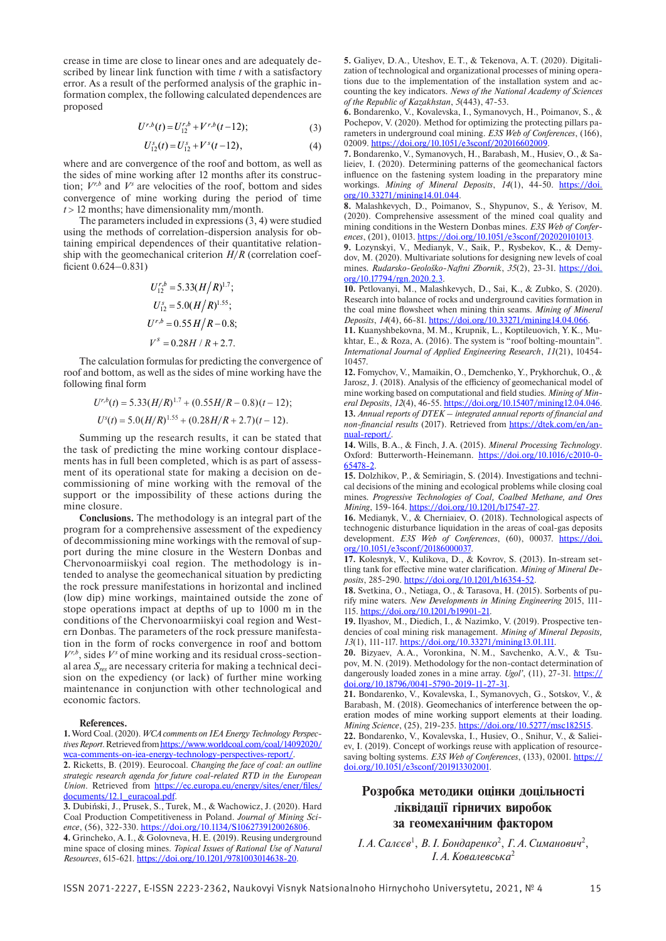crease in time are close to linear ones and are adequately described by linear link function with time *t* with a satisfactory error. As a result of the performed analysis of the graphic information complex, the following calculated dependences are proposed

$$
U^{r,b}(t) = U_{12}^{r,b} + V^{r,b}(t-12); \tag{3}
$$

$$
U_{12}^s(t) = U_{12}^s + V^s(t-12), \tag{4}
$$

where and are convergence of the roof and bottom, as well as the sides of mine working after 12 months after its construction;  $V^{r,b}$  and  $V^s$  are velocities of the roof, bottom and sides convergence of mine working during the period of time  $t > 12$  months; have dimensionality mm/month.

The parameters included in expressions (3, 4) were studied using the methods of correlation-dispersion analysis for obtaining empirical dependences of their quantitative relationship with the geomechanical criterion *H*/*R* (correlation coefficient 0.624–0.831)

$$
U_{12}^{r,b} = 5.33(H/R)^{1.7};
$$
  
\n
$$
U_{12}^{s} = 5.0(H/R)^{1.55};
$$
  
\n
$$
U^{r,b} = 0.55H/R - 0.8;
$$
  
\n
$$
V^{s} = 0.28H/R + 2.7.
$$

The calculation formulas for predicting the convergence of roof and bottom, as well as the sides of mine working have the following final form

$$
U^{r,b}(t) = 5.33(H/R)^{1.7} + (0.55H/R - 0.8)(t - 12);
$$
  

$$
U^{s}(t) = 5.0(H/R)^{1.55} + (0.28H/R + 2.7)(t - 12).
$$

Summing up the research results, it can be stated that the task of predicting the mine working contour displacements has in full been completed, which is as part of assessment of its operational state for making a decision on decommissioning of mine working with the removal of the support or the impossibility of these actions during the mine closure.

**Conclusions.** The methodology is an integral part of the program for a comprehensive assessment of the expediency of decommissioning mine workings with the removal of support during the mine closure in the Western Donbas and Chervonoarmiiskyi coal region. The methodology is intended to analyse the geomechanical situation by predicting the rock pressure manifestations in horizontal and inclined (low dip) mine workings, maintained outside the zone of stope operations impact at depths of up to 1000 m in the conditions of the Chervonoarmiiskyi coal region and Western Donbas. The parameters of the rock pressure manifestation in the form of rocks convergence in roof and bottom  $V^{r,b}$ , sides  $V^s$  of mine working and its residual cross-sectional area *Sres* are necessary criteria for making a technical decision on the expediency (or lack) of further mine working maintenance in conjunction with other technological and economic factors.

#### **References.**

**1.** Word Coal. (2020). *WCA comments on IEA Energy Technology Perspectives Report*. Retrieved from https://www.worldcoal.com/coal/14092020/ wca-comments-on-iea-energy-technology-perspectives-report/.

**2.** Ricketts, B. (2019). Eeurocoal. *Changing the face of coal: an outline strategic research agenda for future coal-related RTD in the European Union*. Retrieved from https://ec.europa.eu/energy/sites/ener/files/ documents/12.1\_euracoal.pdf.

**3.** Dubiński, J., Prusek, S., Turek, M., & Wachowicz, J. (2020). Hard Coal Production Competitiveness in Poland. *Journal of Mining Science*, (56), 322-330. https://doi.org/10.1134/S1062739120026806.

**4.** Grincheko, A.I., & Golovneva, H.E. (2019). Reusing underground mine space of closing mines. *Topical Issues of Rational Use of Natural Resources*, 615-621. https://doi.org/10.1201/9781003014638-20.

**5.** Galiyev, D.A., Uteshov, E.T., & Tekenova, A.T. (2020). Digitalization of technological and organizational processes of mining operations due to the implementation of the installation system and accounting the key indicators. *News of the National Academy of Sciences of the Republic of Kazakhstan*, *5*(443), 47-53.

**6.** Bondarenko, V., Kovalevska, I., Symanovych, H., Poimanov, S., & Pochepov, V. (2020). Method for optimizing the protecting pillars parameters in underground coal mining. *E3S Web of Conferences*, (166), 02009. https://doi.org/10.1051/e3sconf/202016602009.

**7.** Bondarenko, V., Symanovych, H., Barabash, M., Husiev, O., & Salieiev, I. (2020). Determining patterns of the geomechanical factors influence on the fastening system loading in the preparatory mine workings. *Mining of Mineral Deposits*, *14*(1), 44-50. https://doi. org/10.33271/mining14.01.044.

**8.** Malashkevych, D., Poimanov, S., Shypunov, S., & Yerisov, M. (2020). Comprehensive assessment of the mined coal quality and mining conditions in the Western Donbas mines. *E3S Web of Conferences*, (201), 01013. https://doi.org/10.1051/e3sconf/202020101013.

**9.** Lozynskyi, V., Medianyk, V., Saik, P., Rysbekov, K., & Demydov, M. (2020). Multivariate solutions for designing new levels of coal mines. *Rudarsko-Geološko-Naftni Zbornik*, *35*(2), 23-31. https://doi. org/10.17794/rgn.2020.2.3.

**10.** Petlovanyi, M., Malashkevych, D., Sai, K., & Zubko, S. (2020). Research into balance of rocks and underground cavities formation in the coal mine flowsheet when mining thin seams. *Mining of Mineral Deposits*, *14*(4), 66-81. https://doi.org/10.33271/mining14.04.066.

**11.** Kuanyshbekovna, M.M., Krupnik, L., Koptileuovich, Y.K., Mukhtar, E., & Roza, A. (2016). The system is "roof bolting-mountain". *International Journal of Applied Engineering Research*, *11*(21), 10454-10457.

**12.** Fomychov, V., Mamaikin, O., Demchenko, Y., Prykhorchuk, O., & Jarosz, J. (2018). Analysis of the efficiency of geomechanical model of mine working based on computational and field studies. *Mining of Mineral Dep*o*sits*, *12*(4), 46-55. https://doi.org/10.15407/mining12.04.046. **13.** *Annual reports of DTEK – integrated annual reports of financial and non-financial results* (2017). Retrieved from https://dtek.com/en/annual-report/.

**14.** Wills, B.A., & Finch, J.A. (2015). *Mineral Processing Technology*. Oxford: Butterworth-Heinemann. https://doi.org/10.1016/c2010-0-65478-2.

**15.** Dolzhikov, P., & Semiriagin, S. (2014). Investigations and technical decisions of the mining and ecological problems while closing coal mines. *Progressive Technologies of Coal, Coalbed Methane, and Ores Mining*, 159-164. https://doi.org/10.1201/b17547-27.

**16.** Medianyk, V., & Cherniaiev, O. (2018). Technological aspects of technogenic disturbance liquidation in the areas of coal-gas deposits development. *E3S Web of Conferences*, (60), 00037. https://doi. org/10.1051/e3sconf/20186000037.

**17.** Kolesnyk, V., Kulikova, D., & Kovrov, S. (2013). In-stream settling tank for effective mine water clarification. *Mining of Mineral Deposits*, 285-290. https://doi.org/10.1201/b16354-52.

**18.** Svetkina, O., Netiaga, O., & Tarasova, H. (2015). Sorbents of purify mine waters. *New Developments in Mining Engineering* 2015, 111-115. https://doi.org/10.1201/b19901-21.

**19.** Ilyashov, M., Diedich, I., & Nazimko, V. (2019). Prospective tendencies of coal mining risk management. *Mining of Mineral Deposits, 13*(1), 111-117. https://doi.org/10.33271/mining13.01.111.

**20.** Bizyaev, A.A., Voronkina, N.M., Savchenko, A.V., & Tsupov, M.N. (2019). Methodology for the non-contact determination of dangerously loaded zones in a mine array. *Ugol'*, (11), 27-31. https:// doi.org/10.18796/0041-5790-2019-11-27-31.

**21.** Bondarenko, V., Kovalevska, I., Symanovych, G., Sotskov, V., & Barabash, M. (2018). Geomechanics of interference between the operation modes of mine working support elements at their loading. *Mining Science*, (25), 219-235. https://doi.org/10.5277/msc182515.

**22.** Bondarenko, V., Kovalevska, I., Husiev, O., Snihur, V., & Salieiev, I. (2019). Concept of workings reuse with application of resourcesaving bolting systems. *E3S Web of Conferences*, (133), 02001. https:// doi.org/10.1051/e3sconf/201913302001.

# **Розробка методики оцінки доцільності ліквідації гірничих виробок за геомеханічним фактором**

I. А. Салєєв<sup>1</sup>, В. І. Бондаренко<sup>2</sup>, Г. А. Симанович<sup>2</sup>, *І.А.Ковалевська*<sup>2</sup>